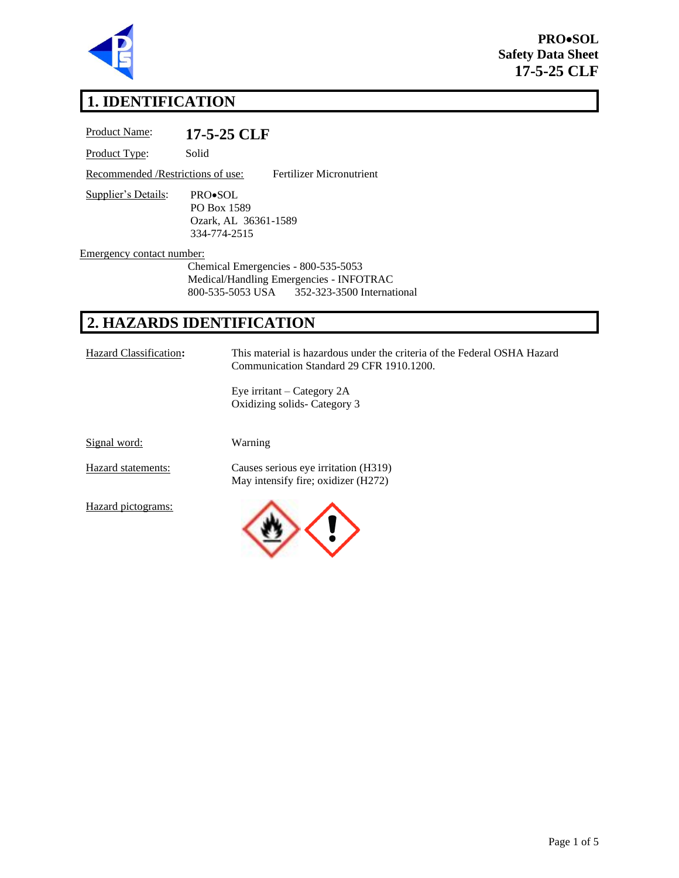

**PRO**•**SOL Safety Data Sheet 17-5-25 CLF**

# **1. IDENTIFICATION**

| <b>Product Name:</b>               | 17-5-25 CLF                                                    |
|------------------------------------|----------------------------------------------------------------|
| Product Type:                      | Solid                                                          |
| Recommended / Restrictions of use: | Fertilizer Micronutrient                                       |
| Supplier's Details:                | PRO•SOL<br>PO Box 1589<br>Ozark, AL 36361-1589<br>334-774-2515 |
| Emergency contact number:          |                                                                |
|                                    | Chemical Emergencies - 800-535-5053                            |
|                                    | Medical/Handling Emergencies - INFOTRAC                        |
|                                    | 800-535-5053 USA 352-323-3500 International                    |
|                                    |                                                                |

# **2. HAZARDS IDENTIFICATION**

Hazard Classification**:** This material is hazardous under the criteria of the Federal OSHA Hazard Communication Standard 29 CFR 1910.1200.

> Eye irritant – Category 2A Oxidizing solids- Category 3

Signal word: Warning

Hazard statements: Causes serious eye irritation (H319) May intensify fire; oxidizer (H272)

Hazard pictograms:

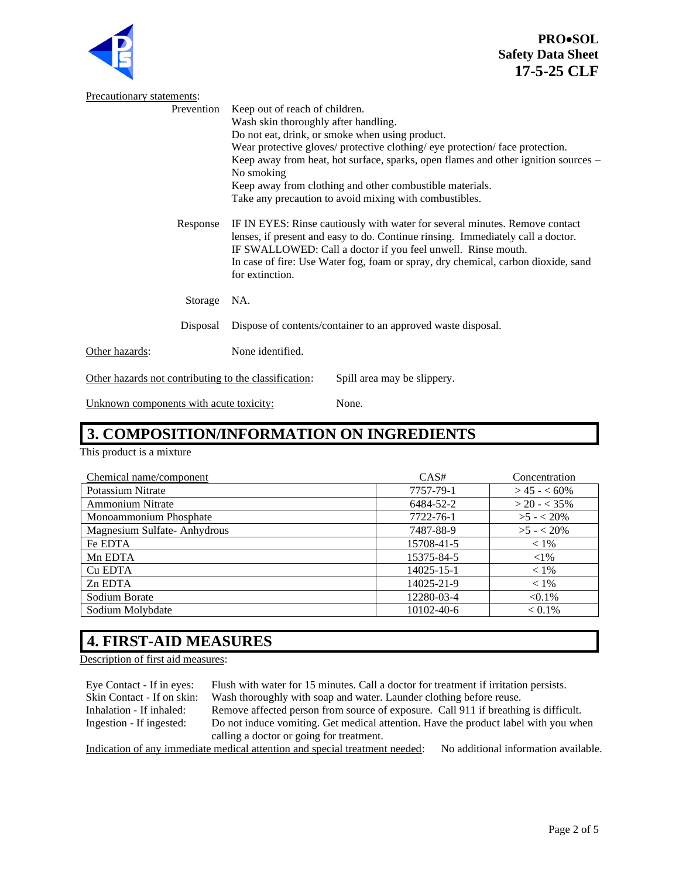

**PRO**•**SOL Safety Data Sheet 17-5-25 CLF**

| Precautionary statements:                             |                                                                                                                                                                                                                                                                                                                                        |  |
|-------------------------------------------------------|----------------------------------------------------------------------------------------------------------------------------------------------------------------------------------------------------------------------------------------------------------------------------------------------------------------------------------------|--|
| Prevention                                            | Keep out of reach of children.                                                                                                                                                                                                                                                                                                         |  |
|                                                       | Wash skin thoroughly after handling.                                                                                                                                                                                                                                                                                                   |  |
|                                                       | Do not eat, drink, or smoke when using product.                                                                                                                                                                                                                                                                                        |  |
|                                                       | Wear protective gloves/ protective clothing/ eye protection/ face protection.                                                                                                                                                                                                                                                          |  |
|                                                       | Keep away from heat, hot surface, sparks, open flames and other ignition sources –<br>No smoking                                                                                                                                                                                                                                       |  |
|                                                       | Keep away from clothing and other combustible materials.                                                                                                                                                                                                                                                                               |  |
|                                                       | Take any precaution to avoid mixing with combustibles.                                                                                                                                                                                                                                                                                 |  |
| Response                                              | IF IN EYES: Rinse cautiously with water for several minutes. Remove contact<br>lenses, if present and easy to do. Continue rinsing. Immediately call a doctor.<br>IF SWALLOWED: Call a doctor if you feel unwell. Rinse mouth.<br>In case of fire: Use Water fog, foam or spray, dry chemical, carbon dioxide, sand<br>for extinction. |  |
| Storage                                               | NA.                                                                                                                                                                                                                                                                                                                                    |  |
| Disposal                                              | Dispose of contents/container to an approved waste disposal.                                                                                                                                                                                                                                                                           |  |
| Other hazards:                                        | None identified.                                                                                                                                                                                                                                                                                                                       |  |
| Other hazards not contributing to the classification: | Spill area may be slippery.                                                                                                                                                                                                                                                                                                            |  |

Unknown components with acute toxicity: None.

#### **3. COMPOSITION/INFORMATION ON INGREDIENTS**

This product is a mixture

| Chemical name/component     | CAS#       | Concentration  |
|-----------------------------|------------|----------------|
| Potassium Nitrate           | 7757-79-1  | $>45 - 60\%$   |
| <b>Ammonium Nitrate</b>     | 6484-52-2  | $>$ 20 - < 35% |
| Monoammonium Phosphate      | 7722-76-1  | $>5 - 20\%$    |
| Magnesium Sulfate-Anhydrous | 7487-88-9  | $>5 - 20\%$    |
| Fe EDTA                     | 15708-41-5 | $< 1\%$        |
| Mn EDTA                     | 15375-84-5 | ${<}1\%$       |
| Cu EDTA                     | 14025-15-1 | $< 1\%$        |
| Zn EDTA                     | 14025-21-9 | $< 1\%$        |
| Sodium Borate               | 12280-03-4 | $< 0.1\%$      |
| Sodium Molybdate            | 10102-40-6 | $< 0.1\%$      |

# **4. FIRST-AID MEASURES**

Description of first aid measures:

Eye Contact - If in eyes: Flush with water for 15 minutes. Call a doctor for treatment if irritation persists. Skin Contact - If on skin: Wash thoroughly with soap and water. Launder clothing before reuse. Inhalation - If inhaled: Remove affected person from source of exposure. Call 911 if breathing is difficult. Ingestion - If ingested: Do not induce vomiting. Get medical attention. Have the product label with you when calling a doctor or going for treatment. Indication of any immediate medical attention and special treatment needed: No additional information available.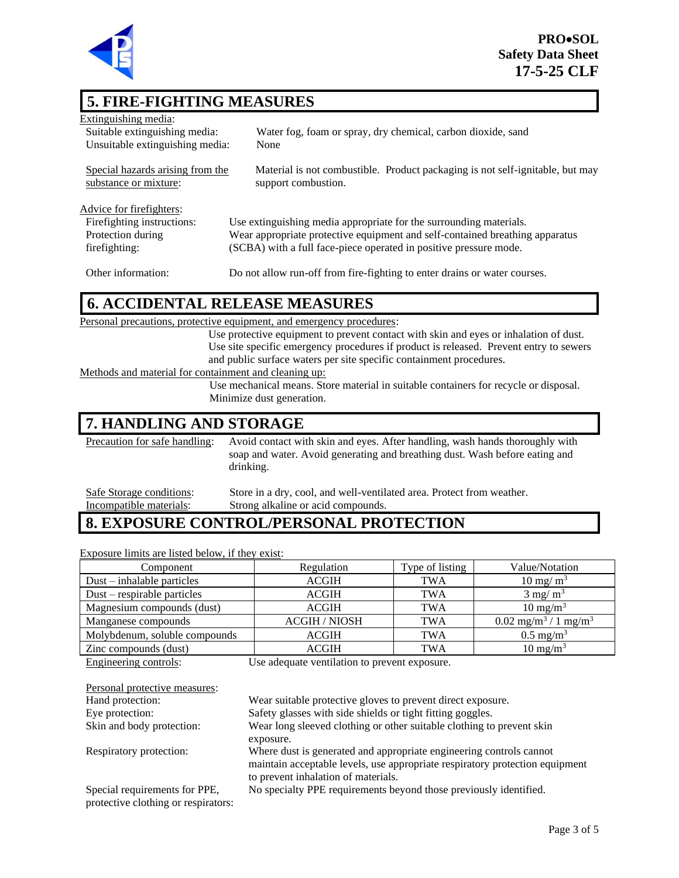

# **5. FIRE-FIGHTING MEASURES**

| Extinguishing media:                                      |                                                                                                      |
|-----------------------------------------------------------|------------------------------------------------------------------------------------------------------|
| Suitable extinguishing media:                             | Water fog, foam or spray, dry chemical, carbon dioxide, sand                                         |
| Unsuitable extinguishing media:                           | None                                                                                                 |
| Special hazards arising from the<br>substance or mixture: | Material is not combustible. Product packaging is not self-ignitable, but may<br>support combustion. |
| Advice for firefighters:                                  |                                                                                                      |
| Firefighting instructions:                                | Use extinguishing media appropriate for the surrounding materials.                                   |
| Protection during                                         | Wear appropriate protective equipment and self-contained breathing apparatus                         |
| firefighting:                                             | (SCBA) with a full face-piece operated in positive pressure mode.                                    |
| Other information:                                        | Do not allow run-off from fire-fighting to enter drains or water courses.                            |

# **6. ACCIDENTAL RELEASE MEASURES**

| Use protective equipment to prevent contact with skin and eyes or inhalation of dust.  |  |  |
|----------------------------------------------------------------------------------------|--|--|
| Use site specific emergency procedures if product is released. Prevent entry to sewers |  |  |
|                                                                                        |  |  |
| Methods and material for containment and cleaning up:                                  |  |  |
| Use mechanical means. Store material in suitable containers for recycle or disposal.   |  |  |
|                                                                                        |  |  |
|                                                                                        |  |  |

### **7. HANDLING AND STORAGE**

Precaution for safe handling: Avoid contact with skin and eyes. After handling, wash hands thoroughly with soap and water. Avoid generating and breathing dust. Wash before eating and drinking.

Safe Storage conditions: Store in a dry, cool, and well-ventilated area. Protect from weather. Incompatible materials: Strong alkaline or acid compounds.

# **8. EXPOSURE CONTROL/PERSONAL PROTECTION**

Exposure limits are listed below, if they exist:

| Component                     | Regulation           | Type of listing | Value/Notation                           |
|-------------------------------|----------------------|-----------------|------------------------------------------|
| $Dust - inhalable particles$  | <b>ACGIH</b>         | TWA             | $10 \text{ mg/m}^3$                      |
| $Dust$ – respirable particles | <b>ACGIH</b>         | <b>TWA</b>      | $3 \text{ mg/m}^3$                       |
| Magnesium compounds (dust)    | <b>ACGIH</b>         | <b>TWA</b>      | $10 \text{ mg/m}^3$                      |
| Manganese compounds           | <b>ACGIH / NIOSH</b> | TWA             | $0.02 \text{ mg/m}^3 / 1 \text{ mg/m}^3$ |
| Molybdenum, soluble compounds | <b>ACGIH</b>         | <b>TWA</b>      | $0.5 \text{ mg/m}^3$                     |
| Zinc compounds (dust)         | <b>ACGIH</b>         | TWA             | $10 \text{ mg/m}^3$                      |

Engineering controls: Use adequate ventilation to prevent exposure.

| Personal protective measures:                                        |                                                                                                                     |
|----------------------------------------------------------------------|---------------------------------------------------------------------------------------------------------------------|
| Hand protection:                                                     | Wear suitable protective gloves to prevent direct exposure.                                                         |
| Eye protection:                                                      | Safety glasses with side shields or tight fitting goggles.                                                          |
| Skin and body protection:                                            | Wear long sleeved clothing or other suitable clothing to prevent skin                                               |
|                                                                      | exposure.                                                                                                           |
| Respiratory protection:                                              | Where dust is generated and appropriate engineering controls cannot                                                 |
|                                                                      | maintain acceptable levels, use appropriate respiratory protection equipment<br>to prevent inhalation of materials. |
| Special requirements for PPE,<br>protective clothing or respirators: | No specialty PPE requirements beyond those previously identified.                                                   |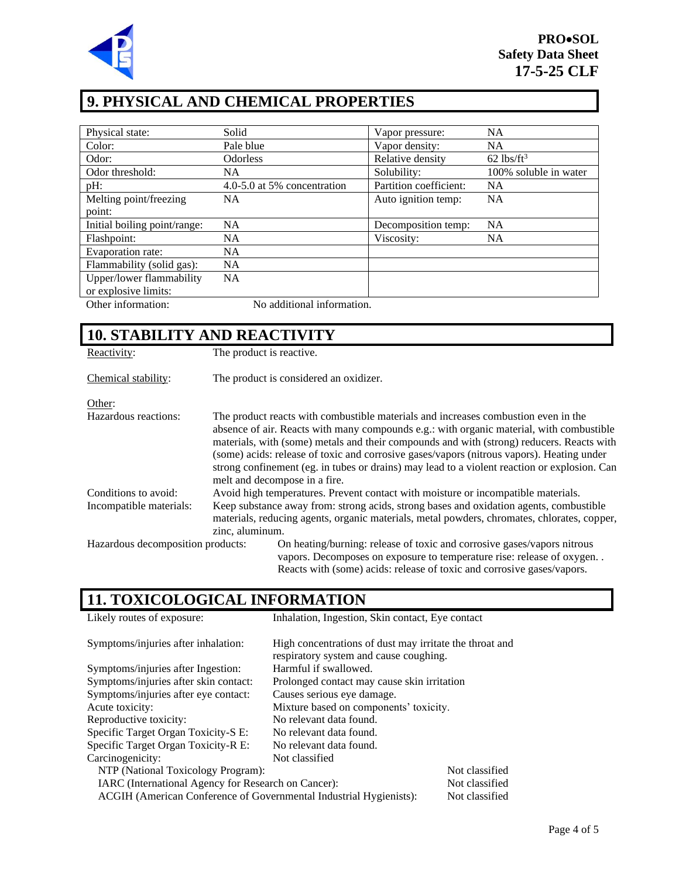

# **9. PHYSICAL AND CHEMICAL PROPERTIES**

| Physical state:              | Solid                       | Vapor pressure:        | <b>NA</b>                |
|------------------------------|-----------------------------|------------------------|--------------------------|
| Color:                       | Pale blue                   | Vapor density:         | NA.                      |
| Odor:                        | <b>Odorless</b>             | Relative density       | $62$ lbs/ft <sup>3</sup> |
| Odor threshold:              | NA.                         | Solubility:            | 100% soluble in water    |
| pH:                          | 4.0-5.0 at 5% concentration | Partition coefficient: | <b>NA</b>                |
| Melting point/freezing       | <b>NA</b>                   | Auto ignition temp:    | <b>NA</b>                |
| point:                       |                             |                        |                          |
| Initial boiling point/range: | <b>NA</b>                   | Decomposition temp:    | <b>NA</b>                |
| Flashpoint:                  | NA.                         | Viscosity:             | NA.                      |
| Evaporation rate:            | <b>NA</b>                   |                        |                          |
| Flammability (solid gas):    | <b>NA</b>                   |                        |                          |
| Upper/lower flammability     | <b>NA</b>                   |                        |                          |
| or explosive limits:         |                             |                        |                          |
| Other information:           | No additional information.  |                        |                          |

# **10. STABILITY AND REACTIVITY**

| Reactivity:                       | The product is reactive.                                                                                                                                                                                                                                                                                                                                                                                                                                                                                  |  |
|-----------------------------------|-----------------------------------------------------------------------------------------------------------------------------------------------------------------------------------------------------------------------------------------------------------------------------------------------------------------------------------------------------------------------------------------------------------------------------------------------------------------------------------------------------------|--|
| Chemical stability:               | The product is considered an oxidizer.                                                                                                                                                                                                                                                                                                                                                                                                                                                                    |  |
| Other:                            |                                                                                                                                                                                                                                                                                                                                                                                                                                                                                                           |  |
| Hazardous reactions:              | The product reacts with combustible materials and increases combustion even in the<br>absence of air. Reacts with many compounds e.g.: with organic material, with combustible<br>materials, with (some) metals and their compounds and with (strong) reducers. Reacts with<br>(some) acids: release of toxic and corrosive gases/vapors (nitrous vapors). Heating under<br>strong confinement (eg. in tubes or drains) may lead to a violent reaction or explosion. Can<br>melt and decompose in a fire. |  |
| Conditions to avoid:              | Avoid high temperatures. Prevent contact with moisture or incompatible materials.                                                                                                                                                                                                                                                                                                                                                                                                                         |  |
| Incompatible materials:           | Keep substance away from: strong acids, strong bases and oxidation agents, combustible<br>materials, reducing agents, organic materials, metal powders, chromates, chlorates, copper,<br>zinc, aluminum.                                                                                                                                                                                                                                                                                                  |  |
| Hazardous decomposition products: | On heating/burning: release of toxic and corrosive gases/vapors nitrous<br>vapors. Decomposes on exposure to temperature rise: release of oxygen<br>Reacts with (some) acids: release of toxic and corrosive gases/vapors.                                                                                                                                                                                                                                                                                |  |

# **11. TOXICOLOGICAL INFORMATION**

| Likely routes of exposure:                                         | Inhalation, Ingestion, Skin contact, Eye contact        |                |  |
|--------------------------------------------------------------------|---------------------------------------------------------|----------------|--|
| Symptoms/injuries after inhalation:                                | High concentrations of dust may irritate the throat and |                |  |
|                                                                    | respiratory system and cause coughing.                  |                |  |
| Symptoms/injuries after Ingestion:                                 | Harmful if swallowed.                                   |                |  |
| Symptoms/injuries after skin contact:                              | Prolonged contact may cause skin irritation             |                |  |
| Symptoms/injuries after eye contact:                               | Causes serious eye damage.                              |                |  |
| Acute toxicity:                                                    | Mixture based on components' toxicity.                  |                |  |
| Reproductive toxicity:                                             | No relevant data found.                                 |                |  |
| Specific Target Organ Toxicity-S E:                                | No relevant data found.                                 |                |  |
| Specific Target Organ Toxicity-R E:                                | No relevant data found.                                 |                |  |
| Carcinogenicity:                                                   | Not classified                                          |                |  |
| NTP (National Toxicology Program):                                 |                                                         | Not classified |  |
| IARC (International Agency for Research on Cancer):                |                                                         | Not classified |  |
| ACGIH (American Conference of Governmental Industrial Hygienists): |                                                         | Not classified |  |